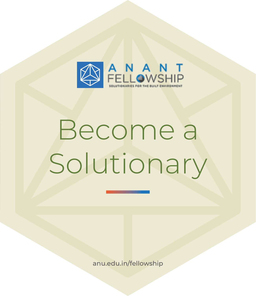

# Become a Solutionary

anu.edu.in/fellowship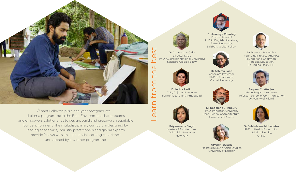

 $\bigtriangleup$ nant Fellowship is a one-year postgraduate diploma programme in the Built Environment that prepares and empowers solutionaries to design, build and preserve an equitable built environment. The multidisciplinary curriculum designed by leading academics, industry practitioners and global experts provide fellows with an experiential learning experience unmatched by any other programme.



**Dr Anunaya Chaubey** Provost, AnantU; PhD in English Literature, Patna University; Salzburg Global Fellow



Associate Professor PhD in Economics, Cornell University



**Dr Amareswar Galla** Director ICICL PhD, Australian National University; Salzburg Global Fellow



**Priyamwada Singh** Master of Architecture, Columbia University, New York





**Dr Ashima Sood**



**Dr Rodolphe El-Khoury** PhD, Princeton University Dean, School of Architecture, University of Miami



**Dr Subhalaxmi Mohapatra** PhD in Health Economics, Utkal University, Orissa





**Dr Pramath Raj Sinha** Founding Provost, AnantU; Founder and Chairman, Harappa Education; Founding Dean, ISB



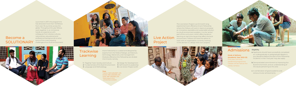- a Applicants should have successfully completed an undergraduate or postgraduate degree in any discipline before the start of the Fellowship. Students in their final year may also apply
- **b** Demonstrated commitment to improving the Built Environment, and an understanding of the issues pertaining to this area
- A combination of good academic and **c** extracurricular achievements

**Mode of delivery (Academic Year 2022-23)** One-year, full-time, residential programme. Classes will be held at the varsity campus.

## Admissions **Eligibility**

**4** Design for Development **6** Live Action Project (LAP)

The Live Action Project is an 8-month long experiential track offered at Anant Fellowship, where the Fellows will work in teams to propose an innovative, equitable and sustainable solution to a built environment problem. It is the 'action' part of the curriculum, which offers hands-on learning on real-time issues that affect the built environment. Fellows will have the option to work with an organisation currently working in this domain or, design their own projects.



Live Action Project



### **Fees**

Anant Fellowship is curated and designed by experts from the fields of design, architecture, technology, liberal arts, and management. Modules offered at the Fellowship are divided into 6 tracks namely,

Tuition: INR 5,00,000\* LPA Hostel: INR 2,00,000 LPA Total: INR 7,00,000 LPA \*Need-based tution scholarships available

**1** Flagship Track: Society and Culture **2** Fundamentals of the Built Environment **5** Self Growth & Leadership **3** Language and Methodology

Become a SOLUTIONARY

m **TRIST**  FAHLEAH

Launched in 2017, the programme has attracted more than 143 fellows from over 18 countries across the globe. Throughout the year fellows work together in an immersive hands-on experience with colleagues from diverse cultures, nationalities, educational and professional backgrounds to solve some of the most pressing challenges of our built environment.



## **Trackwise Learning**